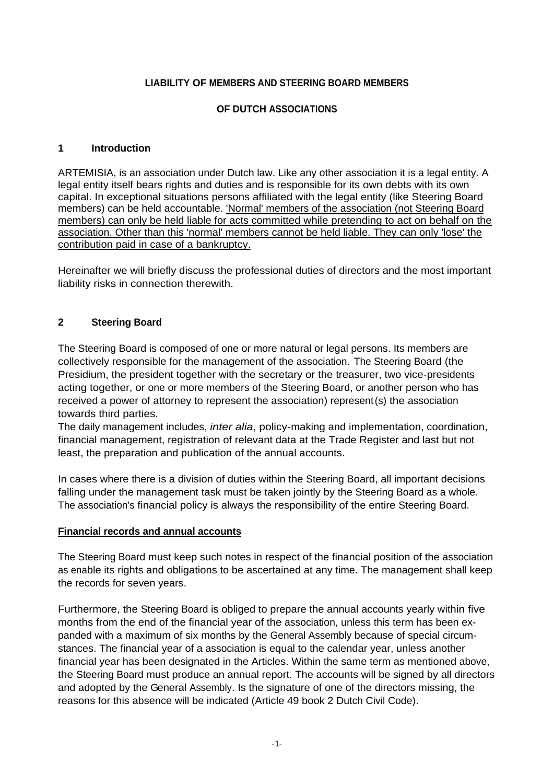## **LIABILITY OF MEMBERS AND STEERING BOARD MEMBERS**

## **OF DUTCH ASSOCIATIONS**

### **1 Introduction**

ARTEMISIA, is an association under Dutch law. Like any other association it is a legal entity. A legal entity itself bears rights and duties and is responsible for its own debts with its own capital. In exceptional situations persons affiliated with the legal entity (like Steering Board members) can be held accountable. 'Normal' members of the association (not Steering Board members) can only be held liable for acts committed while pretending to act on behalf on the association. Other than this 'normal' members cannot be held liable. They can only 'lose' the contribution paid in case of a bankruptcy.

Hereinafter we will briefly discuss the professional duties of directors and the most important liability risks in connection therewith.

## **2 Steering Board**

The Steering Board is composed of one or more natural or legal persons. Its members are collectively responsible for the management of the association. The Steering Board (the Presidium, the president together with the secretary or the treasurer, two vice-presidents acting together, or one or more members of the Steering Board, or another person who has received a power of attorney to represent the association) represent(s) the association towards third parties.

The daily management includes, *inter alia*, policy-making and implementation, coordination, financial management, registration of relevant data at the Trade Register and last but not least, the preparation and publication of the annual accounts.

In cases where there is a division of duties within the Steering Board, all important decisions falling under the management task must be taken jointly by the Steering Board as a whole. The association's financial policy is always the responsibility of the entire Steering Board.

#### **Financial records and annual accounts**

The Steering Board must keep such notes in respect of the financial position of the association as enable its rights and obligations to be ascertained at any time. The management shall keep the records for seven years.

Furthermore, the Steering Board is obliged to prepare the annual accounts yearly within five months from the end of the financial year of the association, unless this term has been ex panded with a maximum of six months by the General Assembly because of special circum stances. The financial year of a association is equal to the calendar year, unless another financial year has been designated in the Articles. Within the same term as mentioned above, the Steering Board must produce an annual report. The accounts will be signed by all directors and adopted by the General Assembly. Is the signature of one of the directors missing, the reasons for this absence will be indicated (Article 49 book 2 Dutch Civil Code).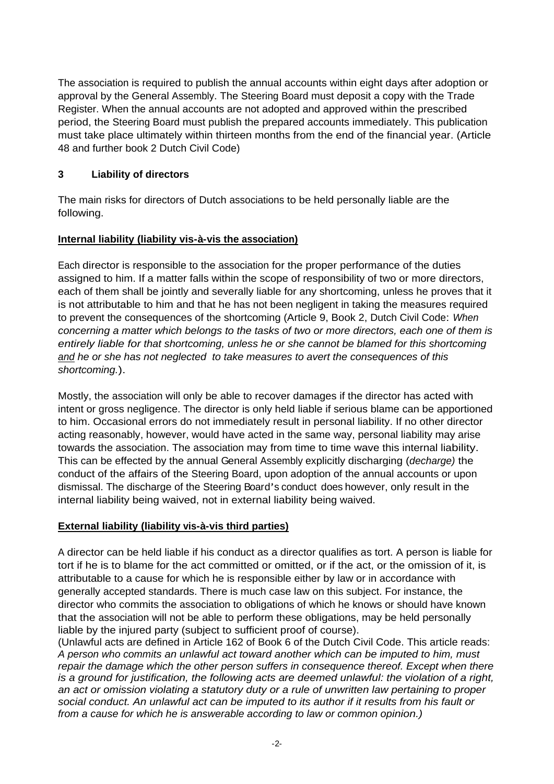The association is required to publish the annual accounts within eight days after adoption or approval by the General Assembly. The Steering Board must deposit a copy with the Trade Register. When the annual accounts are not adopted and approved within the prescribed period, the Steering Board must publish the prepared accounts immediately. This publication must take place ultimately within thirteen months from the end of the financial year. (Article 48 and further book 2 Dutch Civil Code)

## **3 Liability of directors**

The main risks for directors of Dutch associations to be held personally liable are the following.

# **Internal liability (liability vis-à-vis the association)**

Each director is responsible to the association for the proper performance of the duties assigned to him. If a matter falls within the scope of responsibility of two or more directors, each of them shall be jointly and severally liable for any shortcoming, unless he proves that it is not attributable to him and that he has not been negligent in taking the measures required to prevent the consequences of the shortcoming (Article 9, Book 2, Dutch Civil Code: When concerning a matter which belongs to the tasks of two or more directors, each one of them is entirely liable for that shortcoming, unless he or she cannot be blamed for this shortcoming and he or she has not neglected to take measures to avert the consequences of this shortcoming.).

Mostly, the association will only be able to recover damages if the director has acted with intent or gross negligence. The director is only held liable if serious blame can be apportioned to him. Occasional errors do not immediately result in personal liability. If no other director acting reasonably, however, would have acted in the same way, personal liability may arise towards the association. The association may from time to time wave this internal liability. This can be effected by the annual General Assembly explicitly discharging (decharge) the conduct of the affairs of the Steering Board, upon adoption of the annual accounts or upon dismissal. The discharge of the Steering Board's conduct does however, only result in the internal liability being waived, not in external liability being waived.

## **External liability (liability vis-à-vis third parties)**

A director can be held liable if his conduct as a director qualifies as tort. A person is liable for tort if he is to blame for the act committed or omitted, or if the act, or the omission of it, is attributable to a cause for which he is responsible either by law or in accordance with generally accepted standards. There is much case law on this subject. For instance, the director who commits the association to obligations of which he knows or should have known that the association will not be able to perform these obligations, may be held personally liable by the injured party (subject to sufficient proof of course).

(Unlawful acts are defined in Article 162 of Book 6 of the Dutch Civil Code. This article reads: A person who commits an unlawful act toward another which can be imputed to him, must repair the damage which the other person suffers in consequence thereof. Except when there is a ground for justification, the following acts are deemed unlawful: the violation of a right, an act or omission violating a statutory duty or a rule of unwritten law pertaining to proper social conduct. An unlawful act can be imputed to its author if it results from his fault or from a cause for which he is answerable according to law or common opinion.)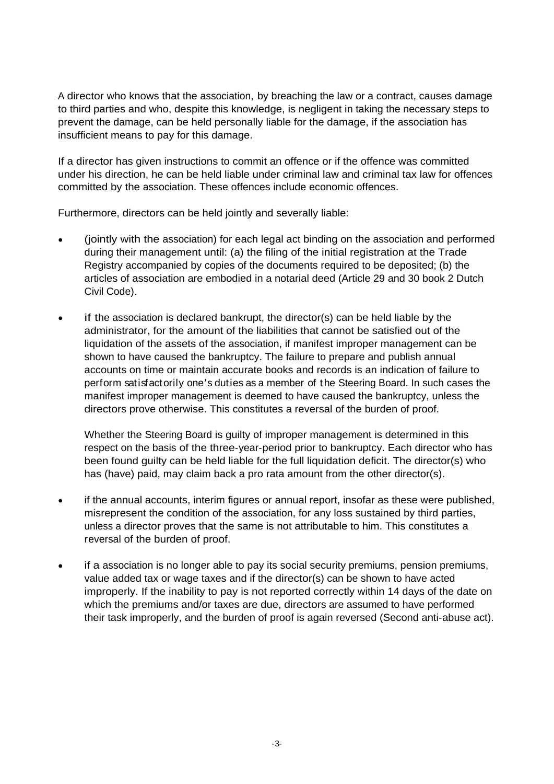A director who knows that the association, by breaching the law or a contract, causes damage to third parties and who, despite this knowledge, is negligent in taking the necessary steps to prevent the damage, can be held personally liable for the damage, if the association has insufficient means to pay for this damage.

If a director has given instructions to commit an offence or if the offence was committed under his direction, he can be held liable under criminal law and criminal tax law for offences committed by the association. These offences include economic offences.

Furthermore, directors can be held jointly and severally liable:

- (jointly with the association) for each legal act binding on the association and performed during their management until: (a) the filing of the initial registration at the Trade Registry accompanied by copies of the documents required to be deposited; (b) the articles of association are embodied in a notarial deed (Article 29 and 30 book 2 Dutch Civil Code).
- if the association is declared bankrupt, the director(s) can be held liable by the administrator, for the amount of the liabilities that cannot be satisfied out of the liquidation of the assets of the association, if manifest improper management can be shown to have caused the bankruptcy. The failure to prepare and publish annual accounts on time or maintain accurate books and records is an indication of failure to perform satisfactorily one's duties as a member of the Steering Board. In such cases the manifest improper management is deemed to have caused the bankruptcy, unless the directors prove otherwise. This constitutes a reversal of the burden of proof.

Whether the Steering Board is guilty of improper management is determined in this respect on the basis of the three-year-period prior to bankruptcy. Each director who has been found guilty can be held liable for the full liquidation deficit. The director(s) who has (have) paid, may claim back a pro rata amount from the other director(s).

- if the annual accounts, interim figures or annual report, insofar as these were published,  $\bullet$ misrepresent the condition of the association, for any loss sustained by third parties, unless a director proves that the same is not attributable to him. This constitutes a reversal of the burden of proof.
- if a association is no longer able to pay its social security premiums, pension premiums, value added tax or wage taxes and if the director(s) can be shown to have acted improperly. If the inability to pay is not reported correctly within 14 days of the date on which the premiums and/or taxes are due, directors are assumed to have performed their task improperly, and the burden of proof is again reversed (Second anti-abuse act).